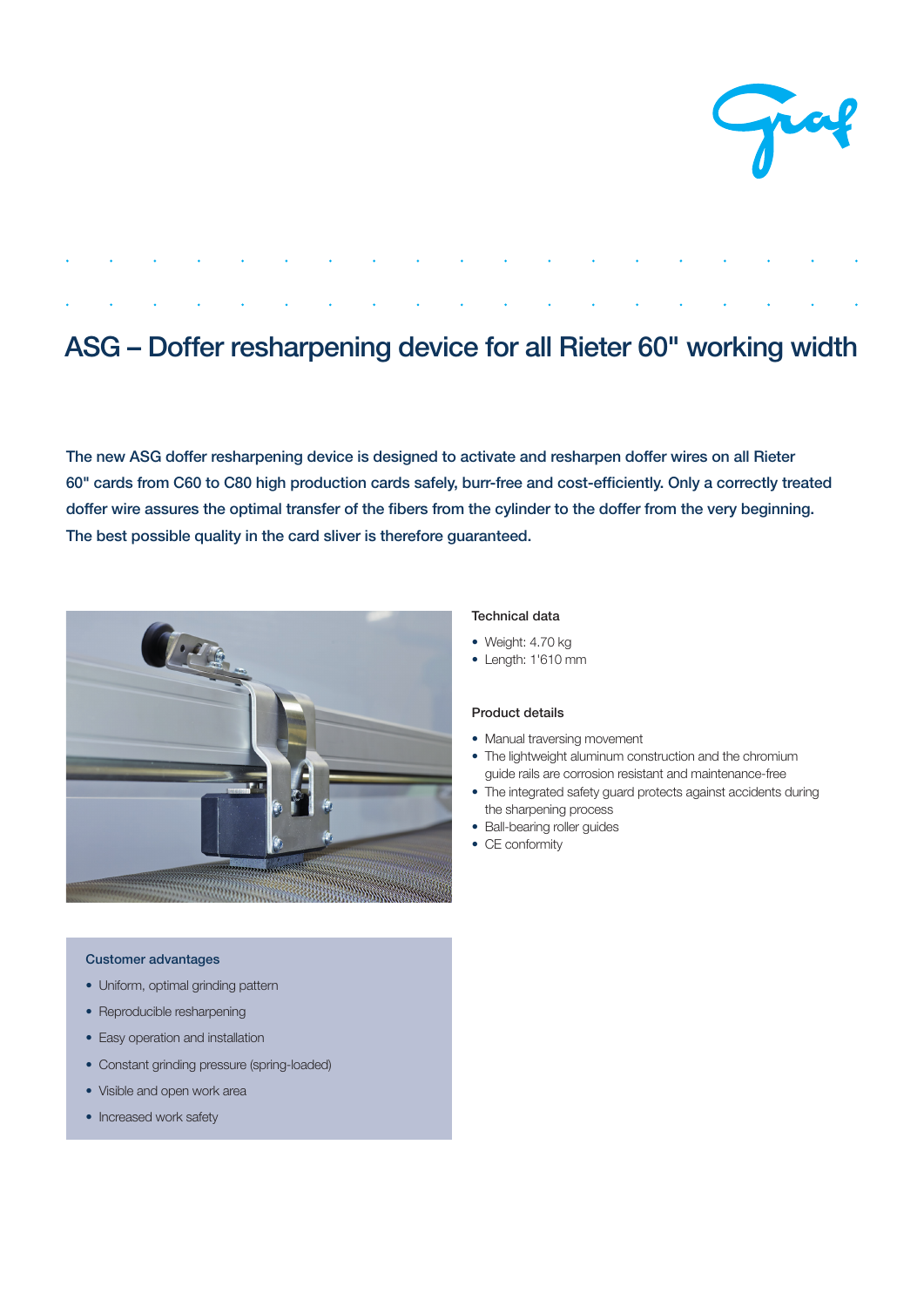

# ASG – Doffer resharpening device for all Rieter 60" working width

The new ASG doffer resharpening device is designed to activate and resharpen doffer wires on all Rieter 60" cards from C60 to C80 high production cards safely, burr-free and cost-efficiently. Only a correctly treated doffer wire assures the optimal transfer of the fibers from the cylinder to the doffer from the very beginning. The best possible quality in the card sliver is therefore guaranteed.



## Customer advantages

- Uniform, optimal grinding pattern
- Reproducible resharpening
- Easy operation and installation
- Constant grinding pressure (spring-loaded)
- Visible and open work area
- Increased work safety

#### Technical data

- Weight: 4.70 kg
- Length: 1'610 mm

### Product details

- Manual traversing movement
- The lightweight aluminum construction and the chromium guide rails are corrosion resistant and maintenance-free
- The integrated safety guard protects against accidents during the sharpening process
- Ball-bearing roller guides
- CE conformity